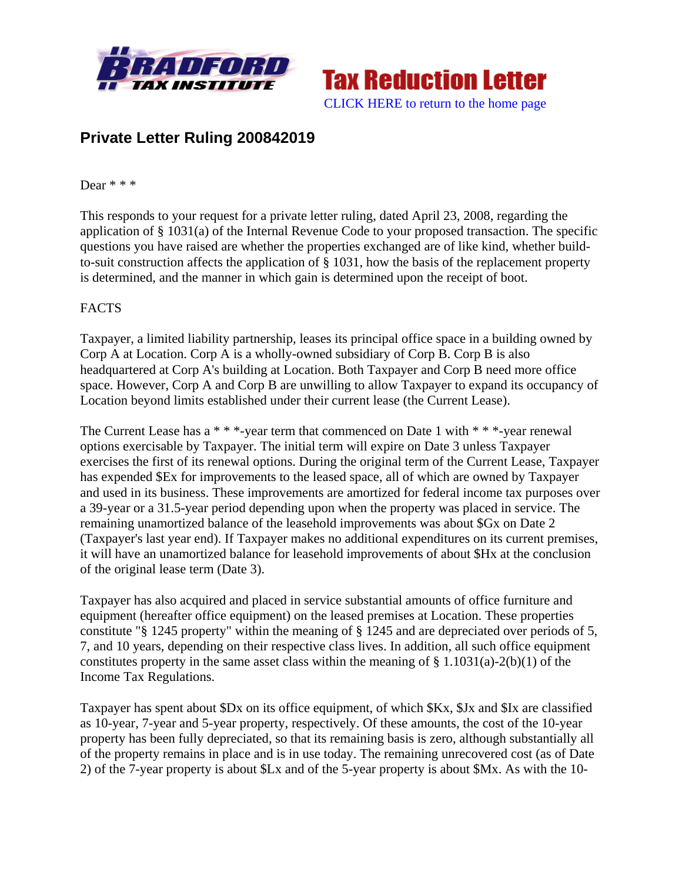



# **Private Letter Ruling 200842019**

#### Dear \* \* \*

This responds to your request for a private letter ruling, dated April 23, 2008, regarding the application of § 1031(a) of the Internal Revenue Code to your proposed transaction. The specific questions you have raised are whether the properties exchanged are of like kind, whether buildto-suit construction affects the application of § 1031, how the basis of the replacement property is determined, and the manner in which gain is determined upon the receipt of boot.

#### FACTS

Taxpayer, a limited liability partnership, leases its principal office space in a building owned by Corp A at Location. Corp A is a wholly-owned subsidiary of Corp B. Corp B is also headquartered at Corp A's building at Location. Both Taxpayer and Corp B need more office space. However, Corp A and Corp B are unwilling to allow Taxpayer to expand its occupancy of Location beyond limits established under their current lease (the Current Lease).

The Current Lease has a \* \* \*-year term that commenced on Date 1 with \* \* \*-year renewal options exercisable by Taxpayer. The initial term will expire on Date 3 unless Taxpayer exercises the first of its renewal options. During the original term of the Current Lease, Taxpayer has expended \$Ex for improvements to the leased space, all of which are owned by Taxpayer and used in its business. These improvements are amortized for federal income tax purposes over a 39-year or a 31.5-year period depending upon when the property was placed in service. The remaining unamortized balance of the leasehold improvements was about \$Gx on Date 2 (Taxpayer's last year end). If Taxpayer makes no additional expenditures on its current premises, it will have an unamortized balance for leasehold improvements of about \$Hx at the conclusion of the original lease term (Date 3).

Taxpayer has also acquired and placed in service substantial amounts of office furniture and equipment (hereafter office equipment) on the leased premises at Location. These properties constitute "§ 1245 property" within the meaning of § 1245 and are depreciated over periods of 5, 7, and 10 years, depending on their respective class lives. In addition, all such office equipment constitutes property in the same asset class within the meaning of  $\S 1.1031(a)-2(b)(1)$  of the Income Tax Regulations.

Taxpayer has spent about \$Dx on its office equipment, of which \$Kx, \$Jx and \$Ix are classified as 10-year, 7-year and 5-year property, respectively. Of these amounts, the cost of the 10-year property has been fully depreciated, so that its remaining basis is zero, although substantially all of the property remains in place and is in use today. The remaining unrecovered cost (as of Date 2) of the 7-year property is about \$Lx and of the 5-year property is about \$Mx. As with the 10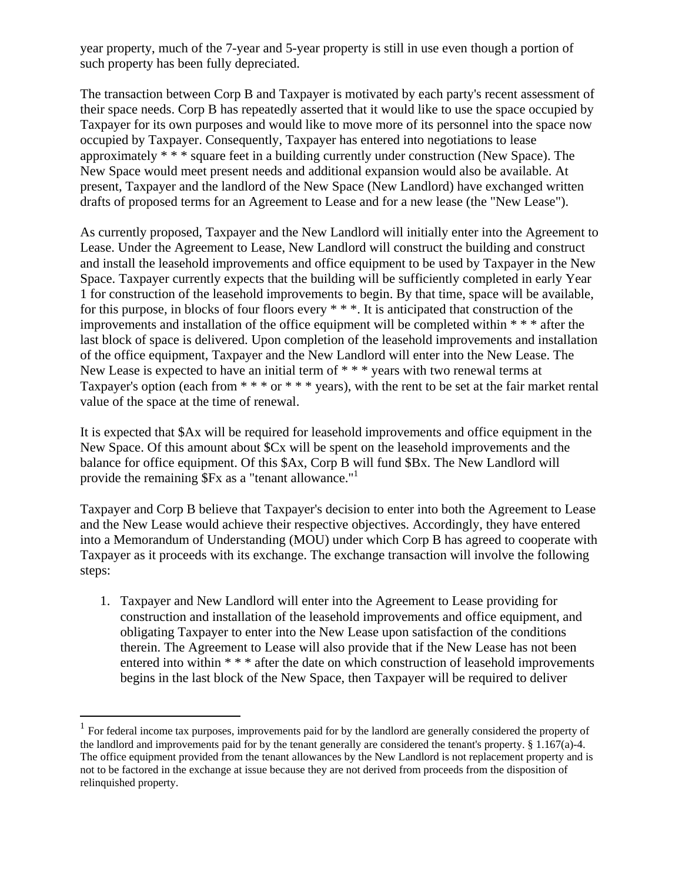year property, much of the 7-year and 5-year property is still in use even though a portion of such property has been fully depreciated.

The transaction between Corp B and Taxpayer is motivated by each party's recent assessment of their space needs. Corp B has repeatedly asserted that it would like to use the space occupied by Taxpayer for its own purposes and would like to move more of its personnel into the space now occupied by Taxpayer. Consequently, Taxpayer has entered into negotiations to lease approximately \* \* \* square feet in a building currently under construction (New Space). The New Space would meet present needs and additional expansion would also be available. At present, Taxpayer and the landlord of the New Space (New Landlord) have exchanged written drafts of proposed terms for an Agreement to Lease and for a new lease (the "New Lease").

As currently proposed, Taxpayer and the New Landlord will initially enter into the Agreement to Lease. Under the Agreement to Lease, New Landlord will construct the building and construct and install the leasehold improvements and office equipment to be used by Taxpayer in the New Space. Taxpayer currently expects that the building will be sufficiently completed in early Year 1 for construction of the leasehold improvements to begin. By that time, space will be available, for this purpose, in blocks of four floors every \* \* \*. It is anticipated that construction of the improvements and installation of the office equipment will be completed within \* \* \* after the last block of space is delivered. Upon completion of the leasehold improvements and installation of the office equipment, Taxpayer and the New Landlord will enter into the New Lease. The New Lease is expected to have an initial term of \* \* \* years with two renewal terms at Taxpayer's option (each from  $***$  or  $***$  years), with the rent to be set at the fair market rental value of the space at the time of renewal.

It is expected that \$Ax will be required for leasehold improvements and office equipment in the New Space. Of this amount about \$Cx will be spent on the leasehold improvements and the balance for office equipment. Of this \$Ax, Corp B will fund \$Bx. The New Landlord will provide the remaining \$Fx as a "tenant allowance."<sup>1</sup>

Taxpayer and Corp B believe that Taxpayer's decision to enter into both the Agreement to Lease and the New Lease would achieve their respective objectives. Accordingly, they have entered into a Memorandum of Understanding (MOU) under which Corp B has agreed to cooperate with Taxpayer as it proceeds with its exchange. The exchange transaction will involve the following steps:

1. Taxpayer and New Landlord will enter into the Agreement to Lease providing for construction and installation of the leasehold improvements and office equipment, and obligating Taxpayer to enter into the New Lease upon satisfaction of the conditions therein. The Agreement to Lease will also provide that if the New Lease has not been entered into within \* \* \* after the date on which construction of leasehold improvements begins in the last block of the New Space, then Taxpayer will be required to deliver

 $\overline{a}$ 

 $<sup>1</sup>$  For federal income tax purposes, improvements paid for by the landlord are generally considered the property of</sup> the landlord and improvements paid for by the tenant generally are considered the tenant's property. § 1.167(a)-4. The office equipment provided from the tenant allowances by the New Landlord is not replacement property and is not to be factored in the exchange at issue because they are not derived from proceeds from the disposition of relinquished property.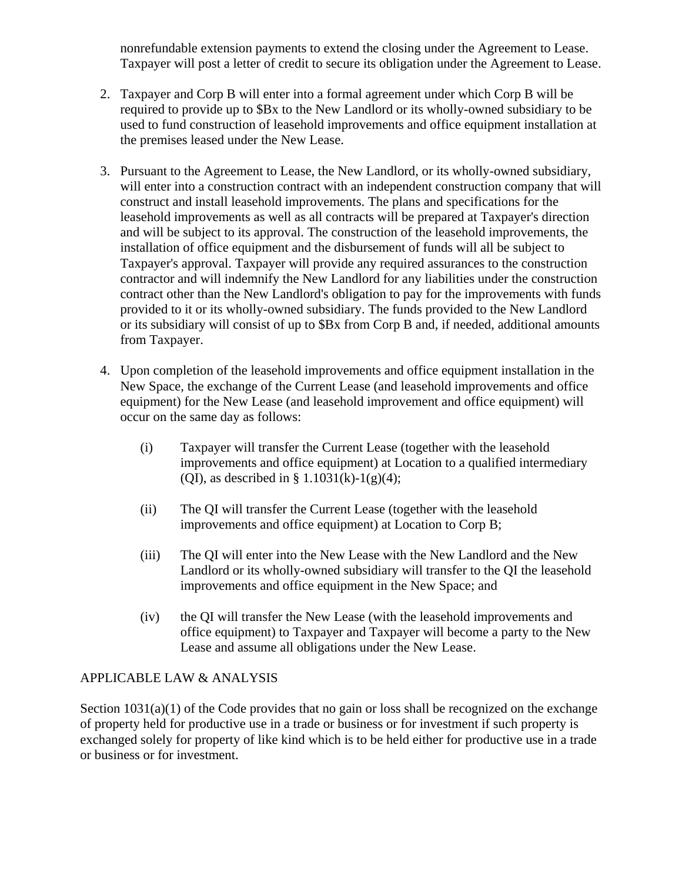nonrefundable extension payments to extend the closing under the Agreement to Lease. Taxpayer will post a letter of credit to secure its obligation under the Agreement to Lease.

- 2. Taxpayer and Corp B will enter into a formal agreement under which Corp B will be required to provide up to \$Bx to the New Landlord or its wholly-owned subsidiary to be used to fund construction of leasehold improvements and office equipment installation at the premises leased under the New Lease.
- 3. Pursuant to the Agreement to Lease, the New Landlord, or its wholly-owned subsidiary, will enter into a construction contract with an independent construction company that will construct and install leasehold improvements. The plans and specifications for the leasehold improvements as well as all contracts will be prepared at Taxpayer's direction and will be subject to its approval. The construction of the leasehold improvements, the installation of office equipment and the disbursement of funds will all be subject to Taxpayer's approval. Taxpayer will provide any required assurances to the construction contractor and will indemnify the New Landlord for any liabilities under the construction contract other than the New Landlord's obligation to pay for the improvements with funds provided to it or its wholly-owned subsidiary. The funds provided to the New Landlord or its subsidiary will consist of up to \$Bx from Corp B and, if needed, additional amounts from Taxpayer.
- 4. Upon completion of the leasehold improvements and office equipment installation in the New Space, the exchange of the Current Lease (and leasehold improvements and office equipment) for the New Lease (and leasehold improvement and office equipment) will occur on the same day as follows:
	- (i) Taxpayer will transfer the Current Lease (together with the leasehold improvements and office equipment) at Location to a qualified intermediary (QI), as described in §  $1.1031(k)-1(g)(4)$ ;
	- (ii) The QI will transfer the Current Lease (together with the leasehold improvements and office equipment) at Location to Corp B;
	- (iii) The QI will enter into the New Lease with the New Landlord and the New Landlord or its wholly-owned subsidiary will transfer to the QI the leasehold improvements and office equipment in the New Space; and
	- (iv) the QI will transfer the New Lease (with the leasehold improvements and office equipment) to Taxpayer and Taxpayer will become a party to the New Lease and assume all obligations under the New Lease.

## APPLICABLE LAW & ANALYSIS

Section  $1031(a)(1)$  of the Code provides that no gain or loss shall be recognized on the exchange of property held for productive use in a trade or business or for investment if such property is exchanged solely for property of like kind which is to be held either for productive use in a trade or business or for investment.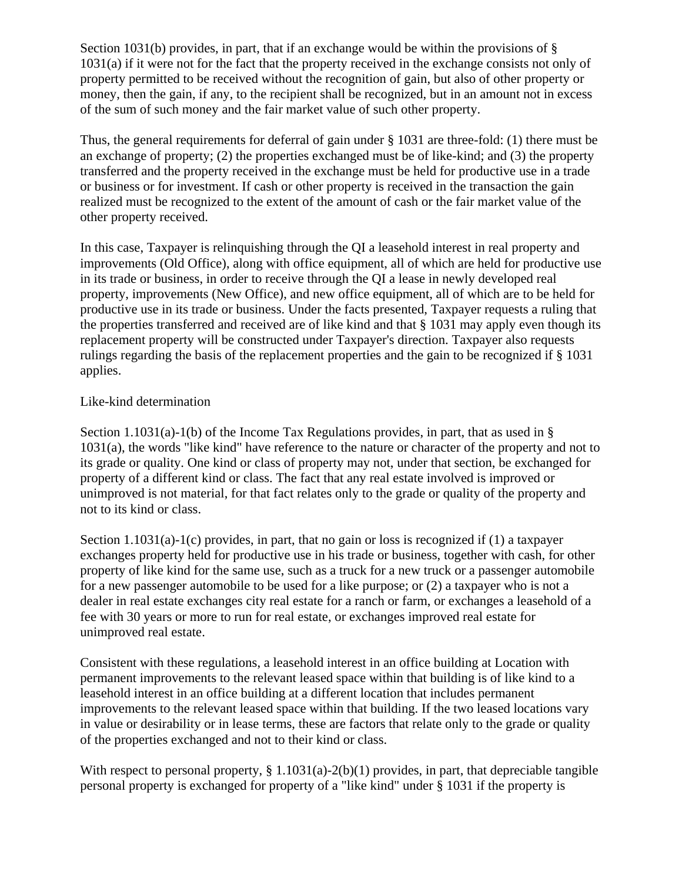Section 1031(b) provides, in part, that if an exchange would be within the provisions of  $\S$ 1031(a) if it were not for the fact that the property received in the exchange consists not only of property permitted to be received without the recognition of gain, but also of other property or money, then the gain, if any, to the recipient shall be recognized, but in an amount not in excess of the sum of such money and the fair market value of such other property.

Thus, the general requirements for deferral of gain under § 1031 are three-fold: (1) there must be an exchange of property; (2) the properties exchanged must be of like-kind; and (3) the property transferred and the property received in the exchange must be held for productive use in a trade or business or for investment. If cash or other property is received in the transaction the gain realized must be recognized to the extent of the amount of cash or the fair market value of the other property received.

In this case, Taxpayer is relinquishing through the QI a leasehold interest in real property and improvements (Old Office), along with office equipment, all of which are held for productive use in its trade or business, in order to receive through the QI a lease in newly developed real property, improvements (New Office), and new office equipment, all of which are to be held for productive use in its trade or business. Under the facts presented, Taxpayer requests a ruling that the properties transferred and received are of like kind and that § 1031 may apply even though its replacement property will be constructed under Taxpayer's direction. Taxpayer also requests rulings regarding the basis of the replacement properties and the gain to be recognized if § 1031 applies.

#### Like-kind determination

Section 1.1031(a)-1(b) of the Income Tax Regulations provides, in part, that as used in § 1031(a), the words "like kind" have reference to the nature or character of the property and not to its grade or quality. One kind or class of property may not, under that section, be exchanged for property of a different kind or class. The fact that any real estate involved is improved or unimproved is not material, for that fact relates only to the grade or quality of the property and not to its kind or class.

Section 1.1031(a)-1(c) provides, in part, that no gain or loss is recognized if (1) a taxpayer exchanges property held for productive use in his trade or business, together with cash, for other property of like kind for the same use, such as a truck for a new truck or a passenger automobile for a new passenger automobile to be used for a like purpose; or (2) a taxpayer who is not a dealer in real estate exchanges city real estate for a ranch or farm, or exchanges a leasehold of a fee with 30 years or more to run for real estate, or exchanges improved real estate for unimproved real estate.

Consistent with these regulations, a leasehold interest in an office building at Location with permanent improvements to the relevant leased space within that building is of like kind to a leasehold interest in an office building at a different location that includes permanent improvements to the relevant leased space within that building. If the two leased locations vary in value or desirability or in lease terms, these are factors that relate only to the grade or quality of the properties exchanged and not to their kind or class.

With respect to personal property, § 1.1031(a)-2(b)(1) provides, in part, that depreciable tangible personal property is exchanged for property of a "like kind" under § 1031 if the property is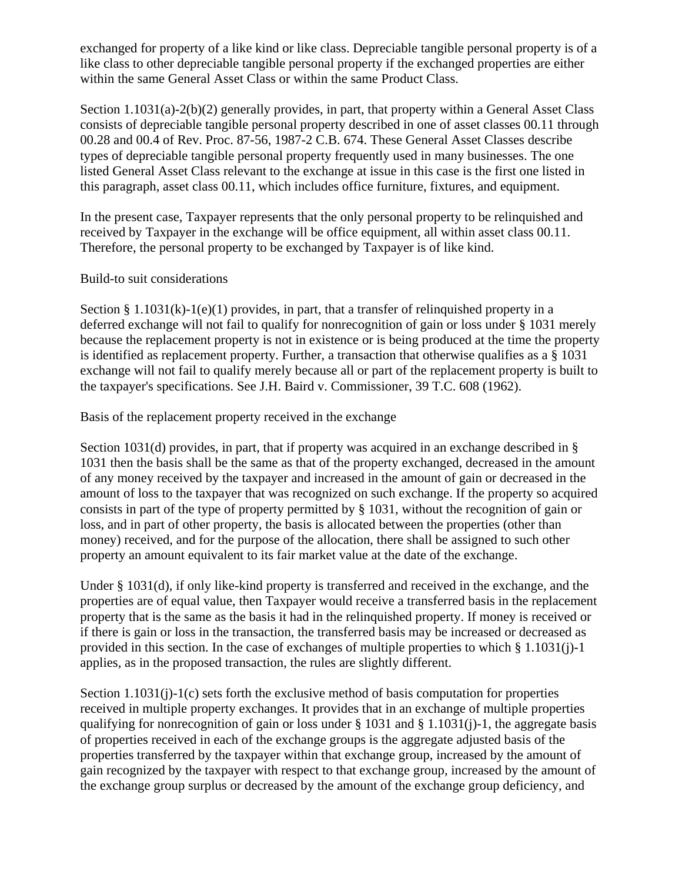exchanged for property of a like kind or like class. Depreciable tangible personal property is of a like class to other depreciable tangible personal property if the exchanged properties are either within the same General Asset Class or within the same Product Class.

Section 1.1031(a)-2(b)(2) generally provides, in part, that property within a General Asset Class consists of depreciable tangible personal property described in one of asset classes 00.11 through 00.28 and 00.4 of Rev. Proc. 87-56, 1987-2 C.B. 674. These General Asset Classes describe types of depreciable tangible personal property frequently used in many businesses. The one listed General Asset Class relevant to the exchange at issue in this case is the first one listed in this paragraph, asset class 00.11, which includes office furniture, fixtures, and equipment.

In the present case, Taxpayer represents that the only personal property to be relinquished and received by Taxpayer in the exchange will be office equipment, all within asset class 00.11. Therefore, the personal property to be exchanged by Taxpayer is of like kind.

Build-to suit considerations

Section § 1.1031(k)-1(e)(1) provides, in part, that a transfer of relinquished property in a deferred exchange will not fail to qualify for nonrecognition of gain or loss under § 1031 merely because the replacement property is not in existence or is being produced at the time the property is identified as replacement property. Further, a transaction that otherwise qualifies as a § 1031 exchange will not fail to qualify merely because all or part of the replacement property is built to the taxpayer's specifications. See J.H. Baird v. Commissioner, 39 T.C. 608 (1962).

Basis of the replacement property received in the exchange

Section 1031(d) provides, in part, that if property was acquired in an exchange described in § 1031 then the basis shall be the same as that of the property exchanged, decreased in the amount of any money received by the taxpayer and increased in the amount of gain or decreased in the amount of loss to the taxpayer that was recognized on such exchange. If the property so acquired consists in part of the type of property permitted by § 1031, without the recognition of gain or loss, and in part of other property, the basis is allocated between the properties (other than money) received, and for the purpose of the allocation, there shall be assigned to such other property an amount equivalent to its fair market value at the date of the exchange.

Under § 1031(d), if only like-kind property is transferred and received in the exchange, and the properties are of equal value, then Taxpayer would receive a transferred basis in the replacement property that is the same as the basis it had in the relinquished property. If money is received or if there is gain or loss in the transaction, the transferred basis may be increased or decreased as provided in this section. In the case of exchanges of multiple properties to which § 1.1031(j)-1 applies, as in the proposed transaction, the rules are slightly different.

Section 1.1031(j)-1(c) sets forth the exclusive method of basis computation for properties received in multiple property exchanges. It provides that in an exchange of multiple properties qualifying for nonrecognition of gain or loss under  $\S 1031$  and  $\S 1.1031(i)$ -1, the aggregate basis of properties received in each of the exchange groups is the aggregate adjusted basis of the properties transferred by the taxpayer within that exchange group, increased by the amount of gain recognized by the taxpayer with respect to that exchange group, increased by the amount of the exchange group surplus or decreased by the amount of the exchange group deficiency, and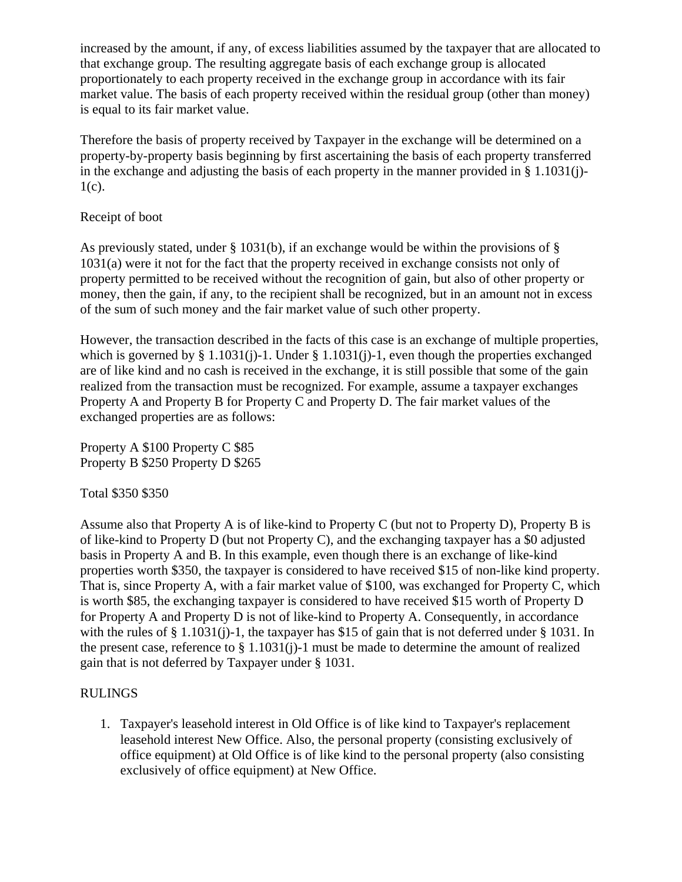increased by the amount, if any, of excess liabilities assumed by the taxpayer that are allocated to that exchange group. The resulting aggregate basis of each exchange group is allocated proportionately to each property received in the exchange group in accordance with its fair market value. The basis of each property received within the residual group (other than money) is equal to its fair market value.

Therefore the basis of property received by Taxpayer in the exchange will be determined on a property-by-property basis beginning by first ascertaining the basis of each property transferred in the exchange and adjusting the basis of each property in the manner provided in § 1.1031(j)-  $1(c)$ .

## Receipt of boot

As previously stated, under § 1031(b), if an exchange would be within the provisions of § 1031(a) were it not for the fact that the property received in exchange consists not only of property permitted to be received without the recognition of gain, but also of other property or money, then the gain, if any, to the recipient shall be recognized, but in an amount not in excess of the sum of such money and the fair market value of such other property.

However, the transaction described in the facts of this case is an exchange of multiple properties, which is governed by § 1.1031(j)-1. Under § 1.1031(j)-1, even though the properties exchanged are of like kind and no cash is received in the exchange, it is still possible that some of the gain realized from the transaction must be recognized. For example, assume a taxpayer exchanges Property A and Property B for Property C and Property D. The fair market values of the exchanged properties are as follows:

Property A \$100 Property C \$85 Property B \$250 Property D \$265

## Total \$350 \$350

Assume also that Property A is of like-kind to Property C (but not to Property D), Property B is of like-kind to Property D (but not Property C), and the exchanging taxpayer has a \$0 adjusted basis in Property A and B. In this example, even though there is an exchange of like-kind properties worth \$350, the taxpayer is considered to have received \$15 of non-like kind property. That is, since Property A, with a fair market value of \$100, was exchanged for Property C, which is worth \$85, the exchanging taxpayer is considered to have received \$15 worth of Property D for Property A and Property D is not of like-kind to Property A. Consequently, in accordance with the rules of  $\S 1.1031(i)$ -1, the taxpayer has \$15 of gain that is not deferred under  $\S 1031$ . In the present case, reference to § 1.1031(j)-1 must be made to determine the amount of realized gain that is not deferred by Taxpayer under § 1031.

## RULINGS

1. Taxpayer's leasehold interest in Old Office is of like kind to Taxpayer's replacement leasehold interest New Office. Also, the personal property (consisting exclusively of office equipment) at Old Office is of like kind to the personal property (also consisting exclusively of office equipment) at New Office.